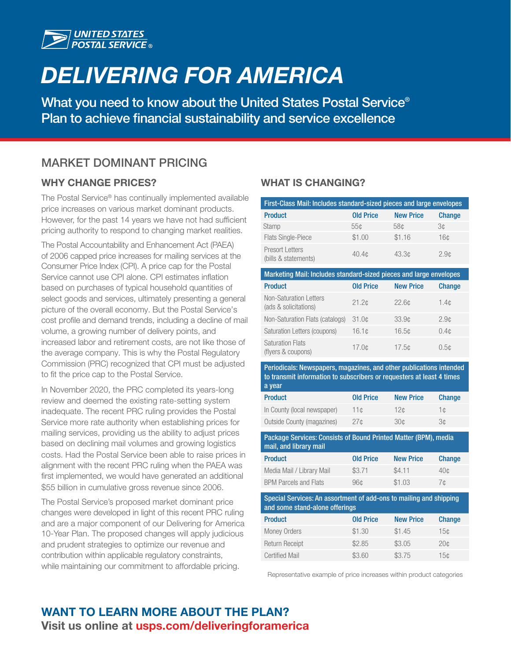

# *DELIVERING FOR AMERICA*

What you need to know about the United States Postal Service<sup>®</sup> Plan to achieve financial sustainability and service excellence

## MARKET DOMINANT PRICING

### WHY CHANGE PRICES?

The Postal Service® has continually implemented available price increases on various market dominant products. However, for the past 14 years we have not had sufficient pricing authority to respond to changing market realities.

The Postal Accountability and Enhancement Act (PAEA) of 2006 capped price increases for mailing services at the Consumer Price Index (CPI). A price cap for the Postal Service cannot use CPI alone. CPI estimates inflation based on purchases of typical household quantities of select goods and services, ultimately presenting a general picture of the overall economy. But the Postal Service's cost profile and demand trends, including a decline of mail volume, a growing number of delivery points, and increased labor and retirement costs, are not like those of the average company. This is why the Postal Regulatory Commission (PRC) recognized that CPI must be adjusted to fit the price cap to the Postal Service.

In November 2020, the PRC completed its years-long review and deemed the existing rate-setting system inadequate. The recent PRC ruling provides the Postal Service more rate authority when establishing prices for mailing services, providing us the ability to adjust prices based on declining mail volumes and growing logistics costs. Had the Postal Service been able to raise prices in alignment with the recent PRC ruling when the PAEA was first implemented, we would have generated an additional \$55 billion in cumulative gross revenue since 2006.

The Postal Service's proposed market dominant price changes were developed in light of this recent PRC ruling and are a major component of our Delivering for America 10-Year Plan. The proposed changes will apply judicious and prudent strategies to optimize our revenue and contribution within applicable regulatory constraints, while maintaining our commitment to affordable pricing.

### WHAT IS CHANGING?

| First-Class Mail: Includes standard-sized pieces and large envelopes |                  |                  |                 |
|----------------------------------------------------------------------|------------------|------------------|-----------------|
| <b>Product</b>                                                       | <b>Old Price</b> | <b>New Price</b> | <b>Change</b>   |
| Stamp                                                                | 55c              | 58¢              | 3¢              |
| <b>Flats Single-Piece</b>                                            | \$1.00           | \$1.16           | 16 <sub>c</sub> |
| <b>Presort Letters</b><br>(bills & statements)                       | 40.4c            | 43.3c            | 2.9c            |

| Marketing Mail: Includes standard-sized pieces and large envelopes |                  |                   |                  |
|--------------------------------------------------------------------|------------------|-------------------|------------------|
| <b>Product</b>                                                     | <b>Old Price</b> | <b>New Price</b>  | <b>Change</b>    |
| Non-Saturation Letters<br>(ads & solicitations)                    | 21.2c            | 22.6 <sub>c</sub> | 1.4 <sub>c</sub> |
| Non-Saturation Flats (catalogs)                                    | 31.0c            | 33.9¢             | 2.9 <sub>c</sub> |
| Saturation Letters (coupons)                                       | 16.1c            | 16.5c             | 0.4 <sub>c</sub> |
| <b>Saturation Flats</b><br>(flyers & coupons)                      | 17.0c            | 17.5c             | 0.5¢             |

Periodicals: Newspapers, magazines, and other publications intended to transmit information to subscribers or requesters at least 4 times a year

| <b>Product</b>              | <b>Old Price</b> | <b>New Price</b> | Change |
|-----------------------------|------------------|------------------|--------|
| In County (local newspaper) | 11c              | 12c              | 1 C    |
| Outside County (magazines)  | 27c              | 30 <sub>0</sub>  | З¢     |

| Package Services: Consists of Bound Printed Matter (BPM), media<br>mail, and library mail |                  |                  |               |
|-------------------------------------------------------------------------------------------|------------------|------------------|---------------|
| <b>Product</b>                                                                            | <b>Old Price</b> | <b>New Price</b> | <b>Change</b> |
| Media Mail / Library Mail                                                                 | \$3.71           | \$4.11           | 40c           |
| <b>BPM Parcels and Flats</b>                                                              | 96¢              | \$1.03           | 7¢            |

Special Services: An assortment of add-ons to mailing and shipping and some stand-alone offerings

| <b>Product</b>        | <b>Old Price</b> | <b>New Price</b> | <b>Change</b>   |
|-----------------------|------------------|------------------|-----------------|
| <b>Money Orders</b>   | \$1.30           | \$1.45           | 15c             |
| Return Receipt        | \$2.85           | \$3.05           | 20 <sub>0</sub> |
| <b>Certified Mail</b> | \$3.60           | \$3.75           | 15c             |

Representative example of price increases within product categories

## WANT TO LEARN MORE ABOUT THE PLAN? Visit us online at [usps.com/deliveringforamerica](http://usps.com/deliveringforamerica)